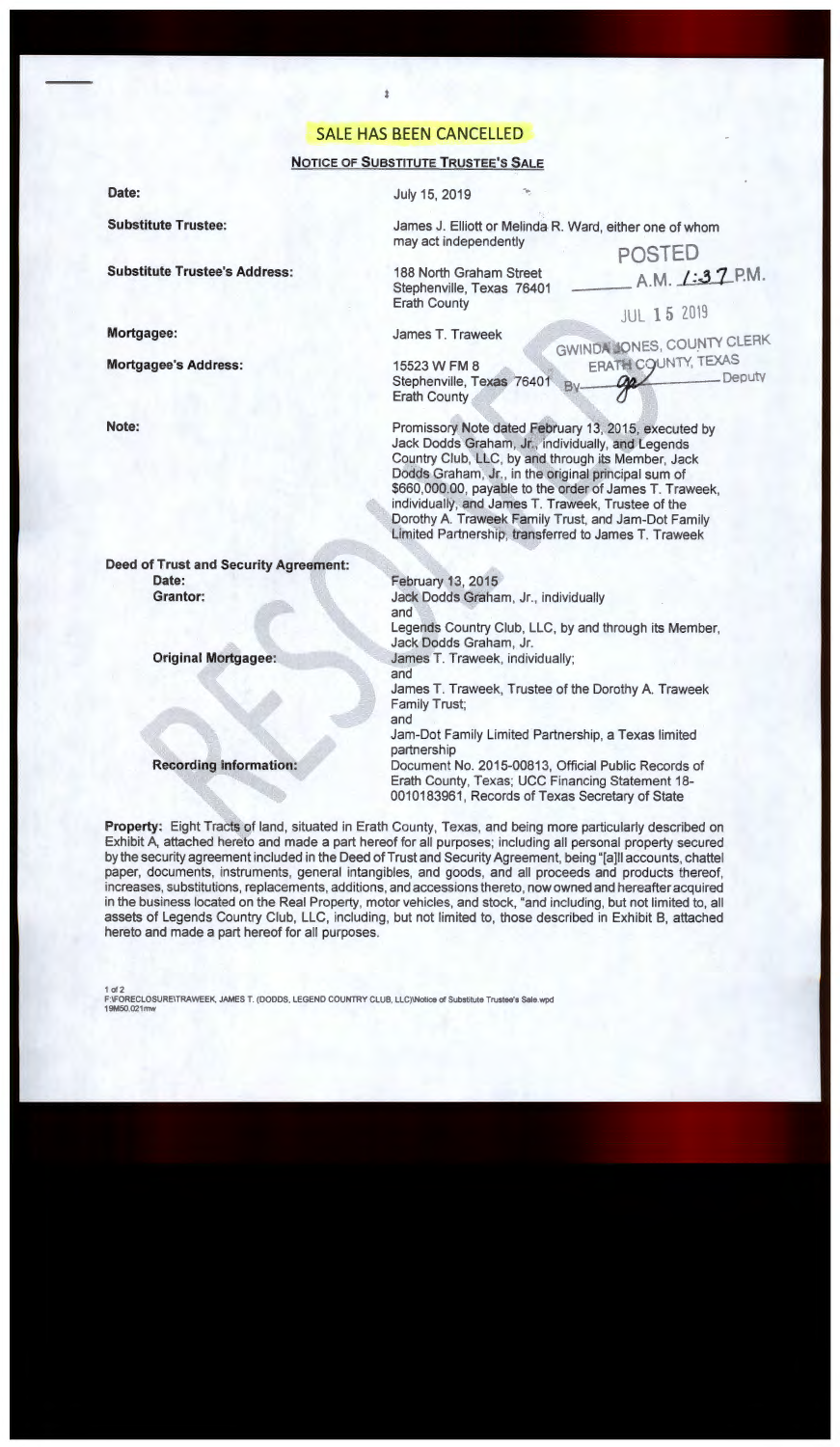# SALE HAS BEEN CANCELLED

# **NOTICE OF SUBSTITUTE TRUSTEE'S SALE**

July 15, 2019

**Substitute Trustee:** 

**Substitute Trustee's Address:** 

**Mortgagee:** 

**Date:** 

**Mortgagee's Address:** 

**Note:** 

James J. Elliott or Melinda R. Ward, either one of whom may act independently POSTED

188 North Graham Street Stephenville, Texas 76401 Erath County

James T. Traweek

February 13, 2015

and

Jack Dodds Graham, Jr., individually

15523 W FM 8 Stephenville, Texas 76401 Erath County

**JUL 15 2019** GWINDA JONES, COUNTY CLERK ERATH COUNTY, TEXAS<br>Deputy<br>Deputy

A.M. **/:37** P.M.

Promissory Note dated February 13, 2015, executed by Jack Dodds Graham, Jr., individually, and Legends Country Club, LLC, by and through its Member, Jack Dodds Graham, Jr., in the original principal sum of \$660,000.00, payable to the order of James T. Traweek, individually, and James T. Traweek, Trustee of the Dorothy A. Traweek Family Trust, and Jam-Dot Family Limited Partnership, transferred to James T. Traweek

**Deed of Trust and Security Agreement: Date: Grantor:** 

**Original Mortgagee:** 

### **Recording information:**

Legends Country Club, LLC, by and through its Member, Jack Dodds Graham, Jr. James T. Traweek, individually; and James T. Traweek, Trustee of the Dorothy A. Traweek Family Trust; and Jam-Dot Family Limited Partnership, a Texas limited partnership

Document No. 2015-00813, Official Public Records of Erath County, Texas; UCC Financing Statement 18- 0010183961 , Records of Texas Secretary of State

**Property:** Eight Tracts of land, situated in Erath County, Texas, and being more particularly described on Exhibit A, attached hereto and made a part hereof for all purposes; including all personal property secured by the security agreement included in the Deed of Trust and Security Agreement, being "[a]II accounts, chattel paper, documents, instruments, general intangibles, and goods, and all proceeds and products thereof, increases, substitutions, replacements, additions, and accessions thereto, now owned and hereafter acquired in the business located on the Real Property, motor vehicles, and stock, "and including, but not limited to, all assets of Legends Country Club, LLC, including, but not limited to, those described in Exhibit B, attached hereto and made a part hereof for all purposes.

1 of2 F:IFORECLOSUREITRAWEEK, JAMES T. (DODDS. LEGEND COUNTRY CLUB, LLC)\Notice of Substitute Trustee's Sale.wpd 19M50.021mw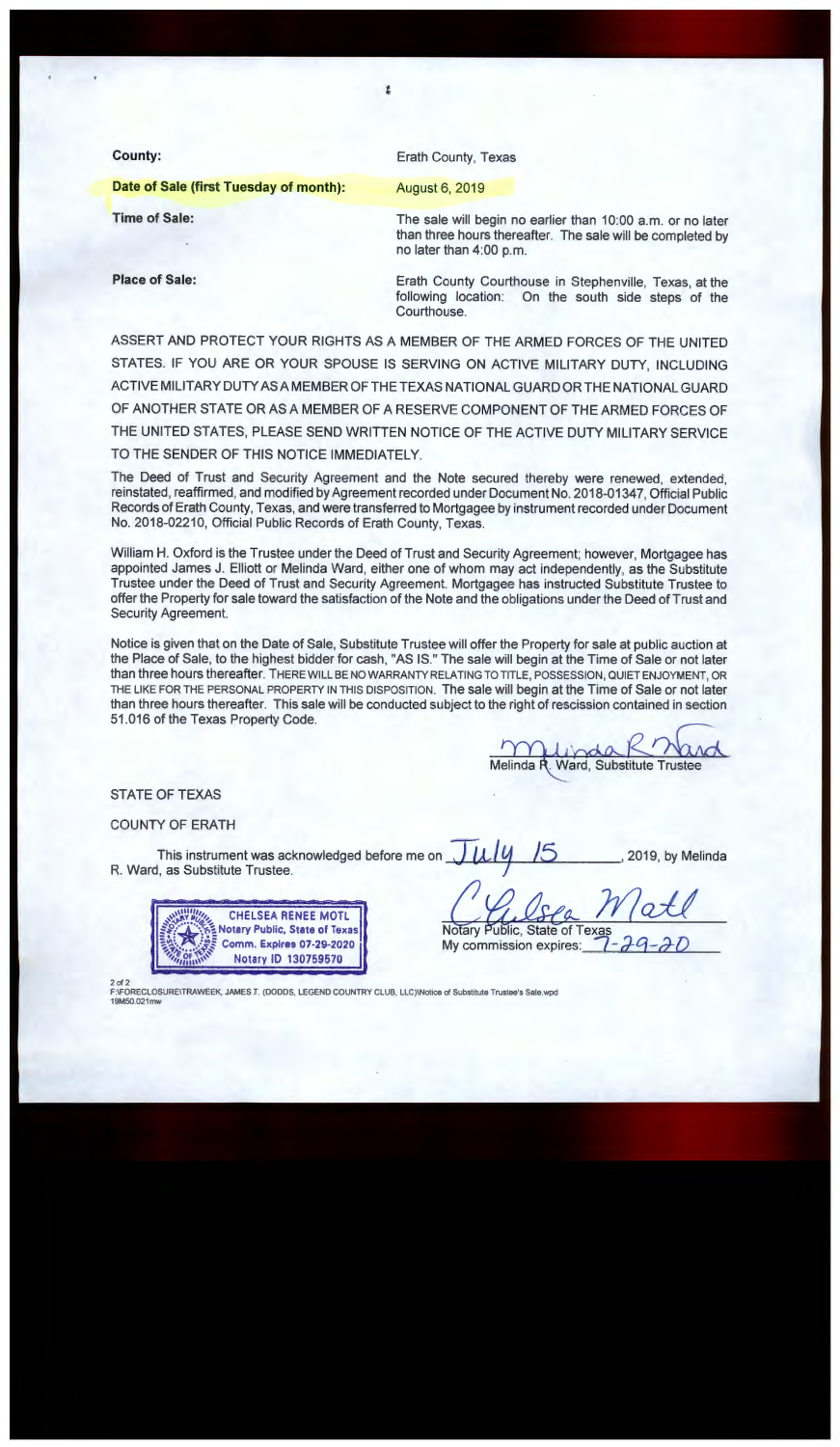| County:                                | <b>Erath County, Texas</b>                                                                                                                            |
|----------------------------------------|-------------------------------------------------------------------------------------------------------------------------------------------------------|
| Date of Sale (first Tuesday of month): | <b>August 6, 2019</b>                                                                                                                                 |
| <b>Time of Sale:</b>                   | The sale will begin no earlier than 10:00 a.m. or no later<br>than three hours thereafter. The sale will be completed by<br>no later than $4:00$ p.m. |
| <b>Place of Sale:</b>                  | Erath County Courthouse in Stephenville, Texas, at the<br>following location: On the south side steps of the<br>Courthouse.                           |

:.

ASSERT AND PROTECT YOUR RIGHTS AS A MEMBER OF THE ARMED FORCES OF THE UNITED STATES. IF YOU ARE OR YOUR SPOUSE IS SERVING ON ACTIVE MILITARY DUTY, INCLUDING ACTIVEMILITARYDUTYASAMEMBEROFTHETEXASNATIONALGUARDORTHENATIONALGUARD OF ANOTHER STATE OR AS A MEMBER OF A RESERVE COMPONENT OF THE ARMED FORCES OF THE UNITED STATES, PLEASE SEND WRITTEN NOTICE OF THE ACTIVE DUTY MILITARY SERVICE TO THE SENDER OF THIS NOTICE IMMEDIATELY.

The Deed of Trust and Security Agreement and the Note secured thereby were renewed, extended, reinstated, reaffirmed, and modified by Agreement recorded under Document No. 2018-01347, Official Public Records of Erath County, Texas, and were transferred to Mortgagee by instrument recorded under Document No. 2018-02210, Official Public Records of Erath County, Texas.

William H. Oxford is the Trustee under the Deed of Trust and Security Agreement; however, Mortgagee has appointed James J. Elliott or Melinda Ward, either one of whom may act independently, as the Substitute Trustee under the Deed of Trust and Security Agreement. Mortgagee has instructed Substitute Trustee to offer the Property for sale toward the satisfaction of the Note and the obligations under the Deed of Trust and Security Agreement.

Notice is given that on the Date of Sale, Substitute Trustee will offer the Property for sale at public auction at the Place of Sale, to the highest bidder for cash, "AS IS." The sale will begin at the Time of Sale or not later than three hours thereafter. THERE WILL BE NO WARRANTY RELATING TO TITLE, POSSESSION, QUIET ENJOYMENT, OR THE LIKE FOR THE PERSONAL PROPERTY IN THIS DISPOSITION. The sale will begin at the Time of Sale or not later than three hours thereafter. This sale will be conducted subject to the right of rescission contained in section 51 .016 of the Texas Property Code.

Melinda R. Ward, Substitute Trustee

2019, by Melinda

**STATE OF TEXAS** 

COUNTY OF ERATH

This instrument was acknowledged before me on  $\Box$ R. Ward, as Substitute Trustee.



**Notary Public, State of Texas**<br>My commission expires:

2 of 2<br>F:\FORECLOSURE\TRAWEEK, JAMES .T. (DODDS, LEGEND COUNTRY CLUB, LLC)\Notice of Substitute Trustee's Sale.wpd 19M50.021mw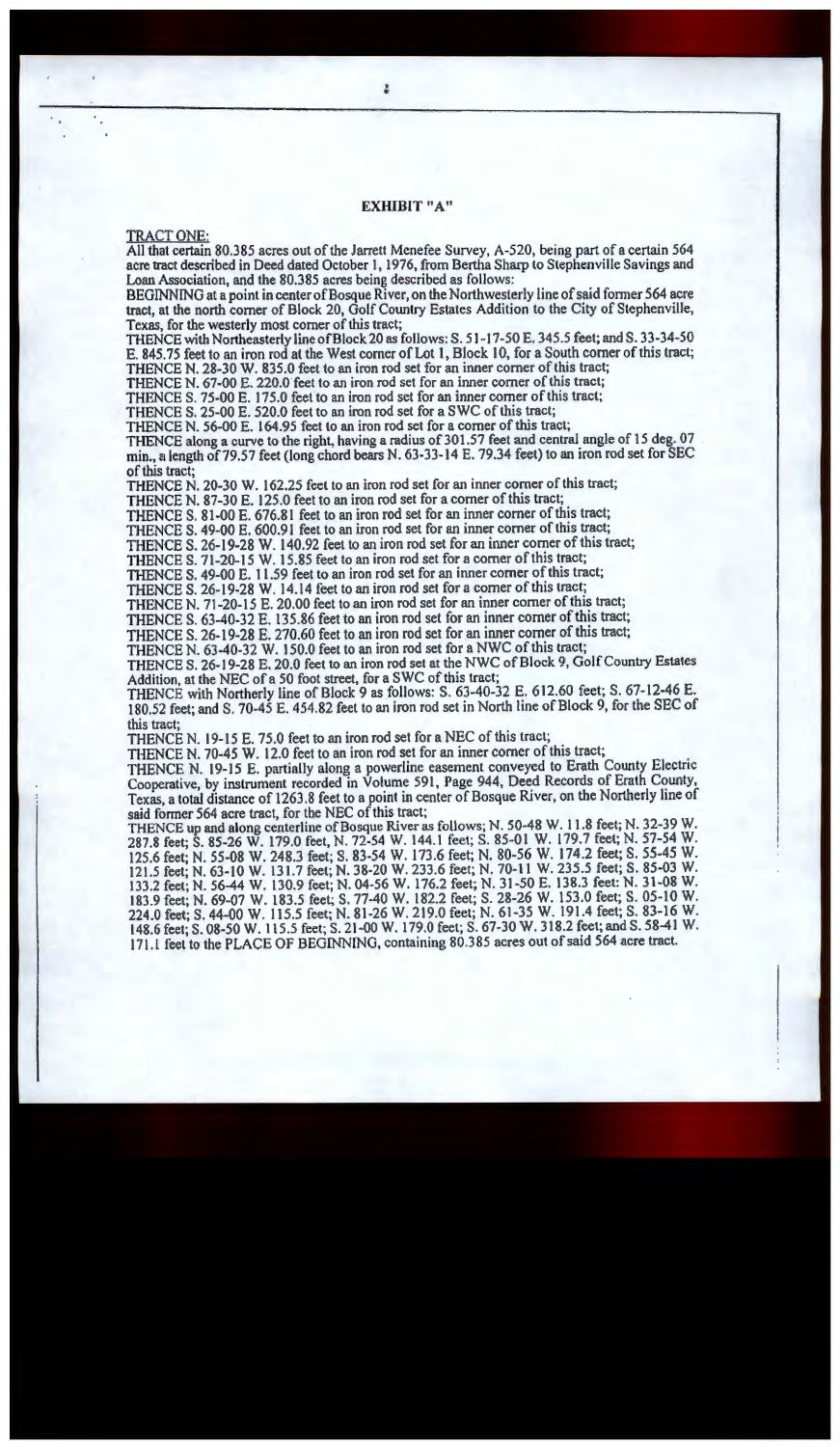### **EXHIBIT "A"**

### TRACT ONE:

All that certain 80.385 acres out of the Jarrett Menefee Survey, A-520, being part of a certain 564 acre tract described in Deed dated October 1, 1976, from Bertha Sharp lo Stephenville Savings and Loan Association, and the 80.385 acres being described as follows:

BEGINNING at a point in center of Bosque River, on the Northwesterly line of said former 564 acre tract, at the north corner of Block 20, Golf Country Estates Addition to the City of Stephenville, Texas, for the westerly most corner of this tract;

THENCE with Northeasterly line of Block 20 as follows: S. 51-17-50 E. 345.5 feet; and S. 33-34-50 E. 845. 75 feet to an iron rod at the West corner of Lot 1, Block l 0, for a South comer of this tract; THENCE N. 28-30 W. 835.0 feet to an iron rod set for an inner corner of this tract;

THENCE N. 67-00 E. 220.0 feet to an iron rod set for an inner corner of this tract;

THENCE S. 75-00 E. 175.0 feet to an iron rod set for an inner corner of this tract;

THENCE S. 25-00 E. 520.0 feet to an iron rod set for a SWC of this tract;

THENCE N. 56-00 E. 164.95 feet to an iron rod set for a comer of this tract;

THENCE along a curve to the right, having a radius of 301.57 feet and central angle of 15 deg. 07 min., a length of 79.57 feet (long chord bears N. 63-33-14 E. 79.34 feet) to an iron rod set for SEC of this tract;

THENCE N. 20-30 W. 162.25 feet to an iron rod set for an inner comer of this tract;

THENCE N. 87-30 E. 125.0 feet to an iron rod set for a comer of this tract;

THENCE S. 81-00 E. 676.81 feet to an iron rod set for an inner comer of this tract;

THENCE S. 49-00 E. 600.91 feet to an iron rod set for an inner comer of this tract;

THENCE S. 26-19-28 W. 140.92 feet to an iron rod set for an inner comer of this tract;

THENCE S. 71-20-15 W. 15.85 feet to an iron rod set for a corner of this tract;

THENCE S. 49-00 E. 11.59 feet to an iron rod set for an inner comer of this tract; THENCE S. 26-19-28 W. 14.14 feet to an iron rod set for a corner of this tract;

THENCE N. 71-20-15 E. 20.00 feet to an iron rod set for an inner comer of this tract;

THENCE S. 63-40-32 E. 135.86 feet to an iron rod set for an inner comer of this tract;

THENCE S. 26-19-28 E. 270.60 feet to an iron rod set for an inner comer of this tract;

THENCE N. 63-40-32 W. 150.0 feet to an iron rod set for a NWC of this tract;

THENCE S. 26-19-28 E. 20.0 feet to an iron rod set at the NWC of Block 9, Golf Country Estates Addition, at the NEC of a 50 foot street, for a SWC of this tract;

THENCE with Northerly line of Block 9 as follows: S. 63-40-32 E. 612.60 feet; S. 67-12-46 E. 180.52 feet; and S. 70-45 E. 454.82 feet to an iron rod set in North line of Block 9, for the SEC of this tract;

THENCE N. 19-15 E. 75.0 feet to an iron rod set for a NEC of this tract;

THENCE N. 70-45 W. 12.0 feet to an iron rod set for an inner corner of this tract;

THENCE N. 19-15 E. partially along a powerline easement conveyed to Erath County Electric Cooperative, by instrument recorded in Volume 591, Page 944, Deed Records of Erath County, Texas, a total distance of 1263 .8 feet to a point in center of Bosque River, on the Northerly line of said fonner 564 acre tract, for the NEC of this tract;

THENCE up and along centerline of Bosque River as follows; N. 50-48 W. 11.8 feet; N. 32-39 W. 287.8 feet; S. 85-26 W. 179.0 feet, N. 72-54 W. 144.l feet; S. 85-01 W. 179.7 feet; N. 57-54 W. 125.6 feet; N. 55-08 W. 248.3 feet; S. 83-54 W. 173.6 feet; N. 80-56 W. 174.2 feet; S. 55-45 W. 121.5 feet; N. 63-10 W. 131.7 feet; N. 38-20 W. 233.6 feet; N. 70-11 W. 235.5 feet; S. 85-03 W. 133.2 feet; N. 56-44 W. 130.9 feet; N. 04-56 W. 176.2 feet; N. 31-50 E. 138.3 feet: N. 31-08 W. 183.9 feet; N. 69-07 W. 183.5 feet; S. 77-40 W. 182.2 feet; S. 28-26 W. 153.0 feet; S. 05-10 W. 224.0 feet; S. 44-00 W. 115.5 feet; N. 81-26 W. 219.0 feet; N. 61-35 W. 191.4 feet; S. 83-16 W. 148.6 feet; S. 08-50 W. 115.5 feet; S. 21-00 W. 179.0 feet; S. 67-30 W. 318.2 feet; and S. 58-41 W. 171. L feet to the PLACE OF BEGINNING, containing 80.385 acres out of said 564 acre tract.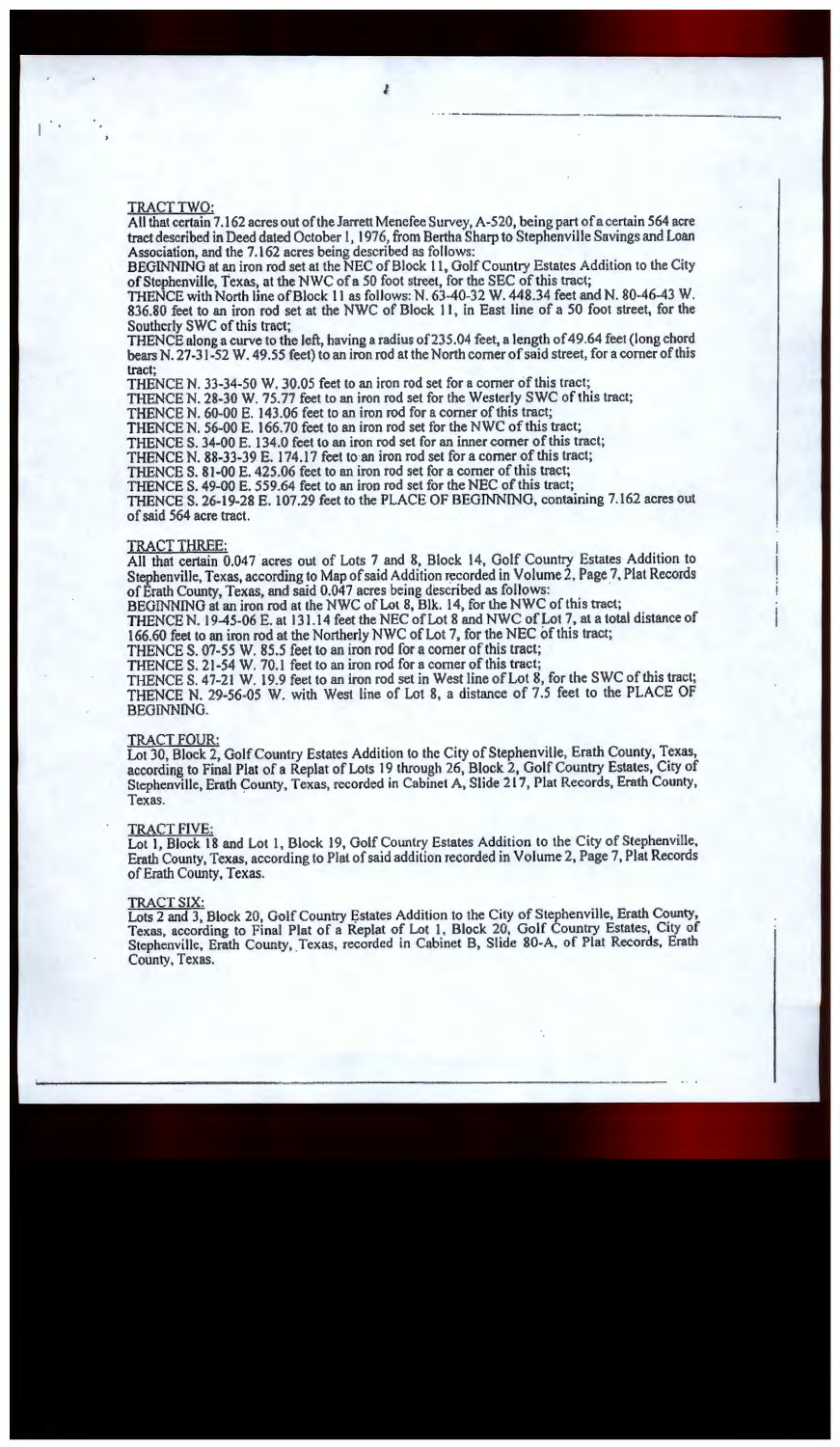# TRACTTWO:

All that certain 7.162 acres out of the Jarrett Menefee Survey, A-520, being part of a certain 564 acre tract described in Deed dated October 1, 1976, from Bertha Sharp to Stephenville Savings and Loan Association, and the 7.162 acres being described as follows:

BEGINNING at an iron rod set at the NEC of Block 11, Golf Country Estates Addition to the City of Stephenville, Texas, at the NWC of a 50 foot street, for the SEC of this tract;<br>THENCE with North line of Block 11 as follows: N. 63-40-32 W. 448.34 feet and N. 80-46-43 W.

836.80 feet to an iron rod set at the NWC of Block 11, in East line of a 50 foot street, for the Southerly SWC of this tract;

THENCE along a curve to the left, having a radius of 235.04 feet, a length of 49.64 feet (long chord bears N. 27-31-52 W. 49.55 feet) to an iron rod at the North corner of said street, for a corner of this tract;

THENCE N. 33-34-50 W. 30.05 feet to an iron rod set for a comer of this tract;

THENCE N. 28-30 W. 75. 77 feet to an iron rod set for the Westerly SWC of this tract;

THENCE N. 60-00 E. 143.06 feet to an iron rod for a comer of this tract;

THENCE N. 56-00 E. 166.70 feet to an iron rod set for the NWC of this tract;

THENCE S. 34-00 E. 134.0 feet to an iron rod set for an inner corner of this tract;

THENCE N. 88-33-39 E. 174.17 feet to an iron rod set for a corner of this tract; THENCE S. 81-00 E. 425.06 feet to an iron rod set for a corner of this tract;

THENCE S. 49-00 E. 559.64 feet to an iron rod set for the NEC of this tract;

THENCE S. 26-19-28 E. 107.29 feet to the PLACE OF BEGINNING, containing 7.162 acres out of said 564 acre tract.

# TRACT THREE:

All that certain 0.047 acres out of Lots 7 and 8, Block 14, Golf Country Estates Addition to Stephenville, Texas, according to Map of said Addition recorded in Volume 2, Page 7, Plat Records of Erath County, Texas, and said 0.047 acres being described as follows:

BEGINNING at an iron rod at the NWC of Lot 8, Blk. 14, for the NWC of this tract;

THENCE N. 19-45-06 E. at 131.14 feet the NEC of Lot 8 and NWC of Lot 7, at a total distance of 166.60 feet to an iron rod at the Northerly NWC of Lot 7, for the NEC of this tract;

THENCE S. 07-55 W. 85.5 feet to an iron rod for a comer of this tract;

THENCE S. 21-54 W. 70.1 feet to an iron rod for a corner of this tract;

THENCE S. 47-21 W. 19.9 feet to an iron rod set in West line of Lot 8, for the SWC of this tract; THENCE N. 29-56-05 W. with West line of Lot 8, a distance of 7.5 feet to the PLACE OF BEGINNING.

### TRACT FOUR:

Lot 30, Block 2, Golf Country Estates Addition to the City of Stephenville, Erath County, Texas, according to Final Plat of a Replat of Lots 19 through 26, Block 2, Golf Country Estates, City of Stephenville, Erath County, Texas, recorded in Cabinet A, Slide 217, Plat Records, Erath County, Texas.

#### TRACT FIVE:

Lot 1, Block 18 and Lot 1, Block 19, Golf Country Estates Addition to the City of Stephenville, Erath County, Texas, according to Plat of said addition recorded in Volume 2, Page 7, Plat Records of Erath County, Texas.

#### TRACT **SIX:**

Lots 2 and 3, Block 20, Golf Country Estates Addition to the City of Stephenville, Erath County, Texas, according to Final Plat of a Replat of Lot 1, Block 20, Golf Country Estates, City of Stephenville, Erath County, Texas, recorded in Cabinet B, Slide 80-A, of Plat Records, Erath County, Texas.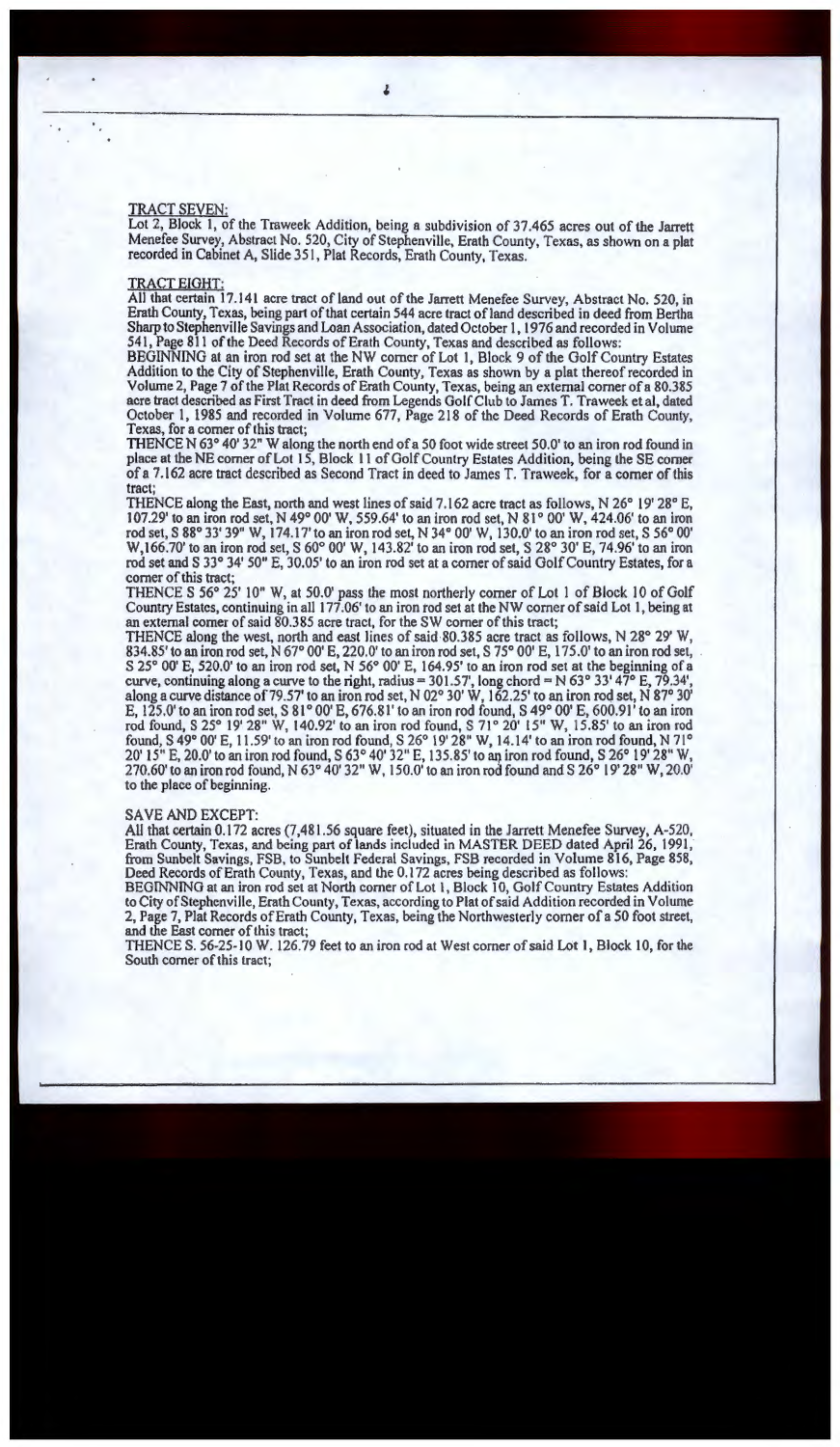Lot 2, Block I, of the Traweek Addition, being a subdivision of 37.465 acres out of the Jarrett Menefee Survey, Abstract No. 520, City of Stephenville, Erath County, Texas, as shown on a plat recorded in Cabinet A, Slide 351, Plat Records, Erath County, Texas.

#### TRACT EIGHT:

All that certain 17 .141 acre tract of land out of the Jarrett Menefee Survey, Abstract No. 520, in Erath County, Texas, being part of that certain 544 acre tract of land described in deed from Bertha Sharp to Stephenville Savings and Loan Association, dated October 1, 1976 and recorded in Volume 541, Page 811 of the Deed Records of Erath County, Texas and described as follows:

BEGINNING at an iron rod set at the NW comer of Lot 1, Block 9 of the Golf Country Estates Addition to the City of Stephenville, Erath County, Texas as shown by a plat thereof recorded in Volume 2, Page 7 of the Plat Records of Erath County, Texas, being an external corner of a 80.385 acre tract described as First Tract in deed from Legends Golf Club to James T. Traweek et al, dated October 1, 1985 and recorded in Volume 677, Page 218 of the Deed Records of Erath County, Texas, for a corner of this tract;

THENCE N 63° 40' 32" W along the north end of a 50 foot wide street 50.0' to an iron rod found in place at the NE corner of Lot 15, Block 11 of Golf Country Estates Addition, being the SE comer of a 7.162 acre tract described as Second Tract in deed to James T. Traweek, for a comer of this tract;

THENCE along the East, north and west lines of said 7 .162 acre tract as follows, N 26° 19' 28° E, 107.29' to an iron rod set, N 49° 00' W, 559.64' to an iron rod set, N 81 ° 00' W, 424.06' to an iron rod set, S 88° 33' 39" W, 174.17' to an iron rod set, N 34° 00' W, 130.0' to an iron rod set, S 56° 00' W,166.70' to an iron rod set, S 60° 00' W, 143.82' to an iron rod set, S 28° 30' E, 74.96' to an iron rod set and S 33° 34' 50" E, 30.05' to an iron rod set at a comer of said Golf Country Estates, for a comer of this tract;

THENCE S 56° 25' IO" W, at 50.0' pass the most northerly corner of Lot I of Block 10 of Golf Country Estates, continuing in all 177 .06' to an iron rod set at the NW comer of said Lot l, being at an external comer of said 80.385 acre tract, for the SW corner of this tract;

THENCE along the west, north and east lines of said 80.385 acre tract as follows, N 28 $^{\circ}$  29' W, 834.85' to an iron rod set, N 67° 00' E, 220.0' to an iron rod set, S 75° 00' E, 175.0' to an iron rod set, S 25° 00' E, 520.0' to an iron rod set, N 56° 00' E, 164.95' to an iron rod set at the beginning of a curve, continuing along a curve to the right, radius =  $301.57'$ , long chord = N 63° 33' 47° E, 79.34', along a curve distance of 79.57' to an iron rod set, N 02° 30' W, 162.25' to an iron rod set, N 87° 30' E,  $125.0'$  to an iron rod set, S 81° 00' E, 676.81' to an iron rod found, S 49° 00' E, 600.91' to an iron rod found, S 25° 19' 28" W, 140.92' to an iron rod found, S 71° 20' 15" W, 15.85' to an iron rod found, S 49° 00' E, 11.59' to an iron rod found, S 26° 19' 28" W, 14.14' to an iron rod found, N 71° 20' 15" E, 20.0' to an iron rod found, S 63° 40' 32" E, 135.85' to an iron rod found, S 26° 19' 28" W, 270.60' to an iron rod found, N 63° 40' 32" W, 150.0' to an iron rod found and S 26° 19' 28" W, 20.0' to the place of beginning.

#### SA VE AND EXCEPT:

All that certain 0.172 acres (7,481 .56 square feet), situated in the Jarrett Menefee Survey, A-520, Erath County, Texas, and being part of lands included in MASTER DEED dated April 26, 1991, from Sunbelt Savings, FSB, to Sunbelt Federal Savings, FSB recorded in Volume 816, Page 858, Deed Records of Erath County, Texas, and the 0.172 acres being described as follows:

BEGINNING at an iron rod set at North comer of Lot l, Block 10, Golf Country Estates Addition to City of Stephenville, Erath County, Texas, according to Plat of said Addition recorded in Volume 2, Page 7, Plat Records of Erath County, Texas, being the Northwesterly comer of a 50 foot street, and the East comer of this tract;

THENCE S. 56-25-10 W. 126. 79 feet to an iron rod at West comer of said Lot 1, Block 10, for the South comer of this tract;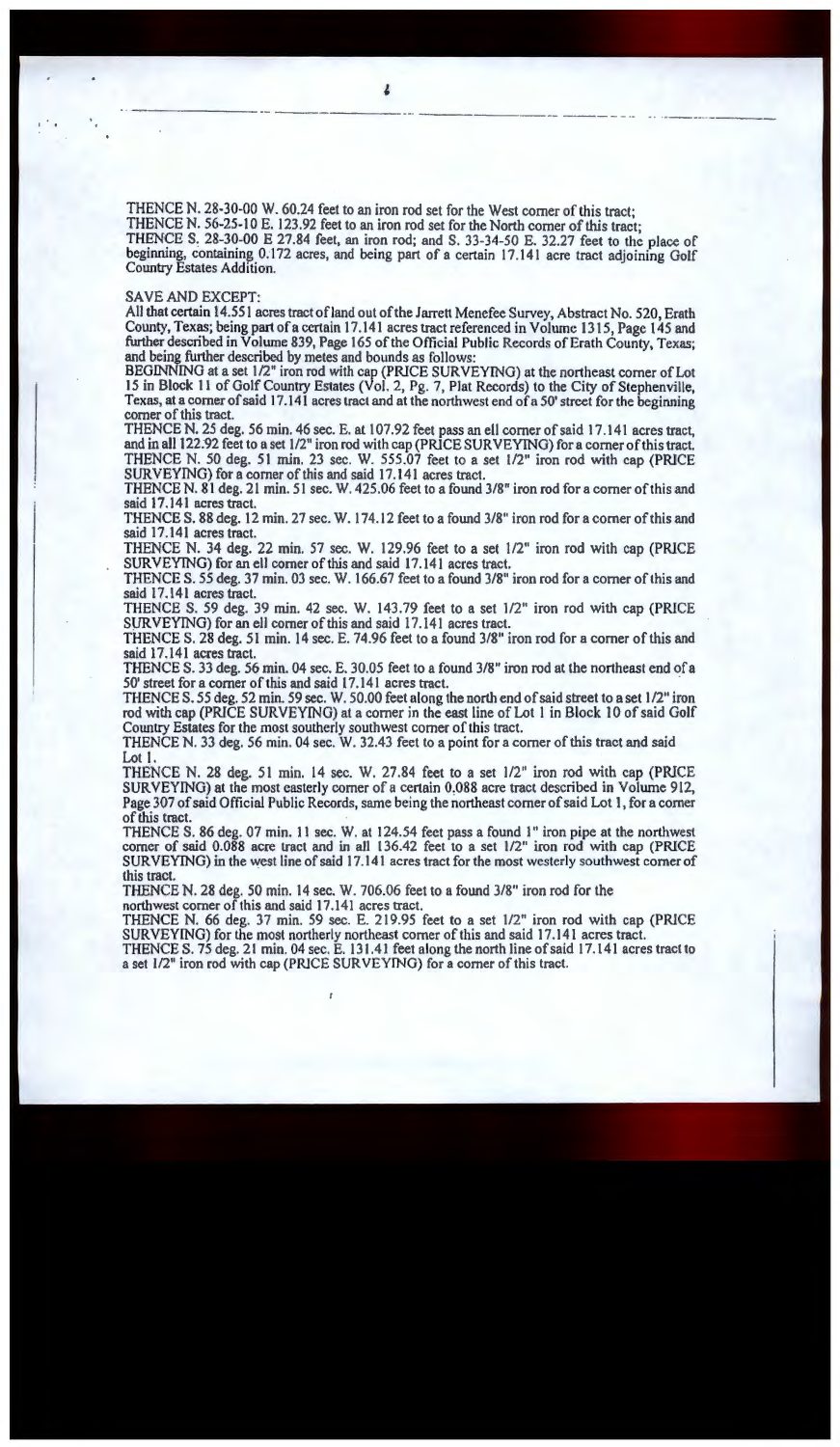THENCE N. 28-30-00 W. 60.24 feet to an iron rod set for the West comer of this tract; THENCE N. 56-25-10 E. 123.92 feet to an iron rod set for the North comer of this tract; THENCE S. 28-30-00 E 27.84 feet, an iron rod; and S. 33-34-50 E. 32.27 feet to the place of beginning, containing 0.172 acres, and being part of a certain 17.141 acre tract adjoining Golf Country Estates Addition.

#### SA VE AND EXCEPT:

All that certain 14.551 acres tract ofland out of the Jarrett Menefee Survey, Abstract No. 520, Erath County, Texas; being part of a certain 17.141 acres tract referenced in Volume 1315, Page 145 and further described in Volume 839, Page 165 of the Official Public Records of Erath County, Texas; and being further described by metes and bounds as follows:

BEGINNING at a set 1/2" iron rod with cap (PRICE SURVEYING) at the northeast comer of Lot 15 in Block 11 of Golf Country Estates (Vol. 2, Pg. 7, Plat Records) to the City of Stephenville, Texas, at a comer of said 17 .141 acres tract and at the northwest end of a 50' street for the beginning corner of this tract.

THENCE N. 25 deg. 56 min. 46 sec. E. at 107.92 feet pass an ell corner of said 17.141 acres tract, and in all 122;92 feet to a set 1/2" iron rod with cap (PRICE SURVEYING) fora corner of this tract. THENCE N. 50 deg. 51 min. 23 sec. W\_ 555.07 feet to a set 1/2" iron rod with cap (PRICE SURVEYING) for a corner of this and said 17.141 acres tract.

THENCE N. 81 deg. 21 min. 51 sec. W. 425.06 feet to a found 3/8" iron rod for a corner of this and said 17.141 acres tract.

THENCE S. 88 deg. 12 min. 27 sec. W. 174.12 feet to a found 3/8" iron rod for a comer of this and said 17 .141 acres tract.

THENCE N. 34 deg. 22 min. 57 sec. W. 129.96 feet to a set 1/2" iron rod with cap (PRICE SURVEYING) for an ell corner of this and said 17.141 acres tract.

THENCE S. *55* deg. 37 min. 03 sec. W. 166.67 feet to a found 3/8" iron rod for a corner of this and said 17.141 acres tract.

THENCE S. *59* deg. 39 *min.* 42 sec. W. 143.79 feet to a set 1/2" iron rod with cap (PRICE SURVEYING) for an ell corner of this and said 17.141 acres tract.

THENCE S. 28 deg. 51 min. 14 sec. E. 74.96 feet to a found 3/8'' iron rod for a comer of this and said 17.141 acres tract.

THENCE S. 33 deg. 56 min. 04 sec. E. 30.05 feet to a found 3/8" iron rod at the northeast end of a 50' street for a comer of this and said 17.141 acres tract.

THENCE S. 55 deg. 52 min. 59 sec. W. 50.00 feet along the north end of said street to a set 1/2" iron rod with cap (PRICE SURVEYfNG) at a comer in the east line of Lot 1 in Block 10 of said Golf Country Estates for the most southerly southwest comer of this tract.

THENCE N. 33 deg. 56 min. 04 sec. W. 32.43 feet to a point for a corner of this tract and said Lot 1.

THENCE N. 28 deg. 51 min. 14 sec. W. 27.84 feet to a set 1/2" iron rod with cap (PRICE SURVEYING) at the most easterly comer of a certain 0:088 acre tract described in Volume 912, Page 307 of said Official Public Records, same being the northeast comer of said Lot I, for a comer of this tract.

THENCE S. 86 deg. 07 min. 11 sec. W. at 124.54 feet pass a found l" iron pipe at the northwest comer of said 0.088 acre tract and in all 136.42 feet to a set l/2" iron rod with cap (PRICE SURVEYING) in the west line of said 17 .141 acres tract for the most westerly southwest corner of this tract.

THENCE N. 28 deg. 50 min. 14 sec. W. 706.06 feet to a found 3/8" iron rod for the northwest corner of this and said 17 .141 acres tract.

THENCE N. 66 deg. 37 min. 59 sec. E. 219.95 feet to a set 1/2" iron rod with cap (PRICE SURVEYING) for the most northerly northeast corner of this and said 17.141 acres tract.

THENCE S. 75 deg. 21 min. 04 sec. E. 131.41 feet along the north line of said 17.141 acres tract to a set 1/2" iron rod with cap (PRJCE SURVEYTNG) for a corner of this tract.

-- - --- - ·- .. . ·----···· ---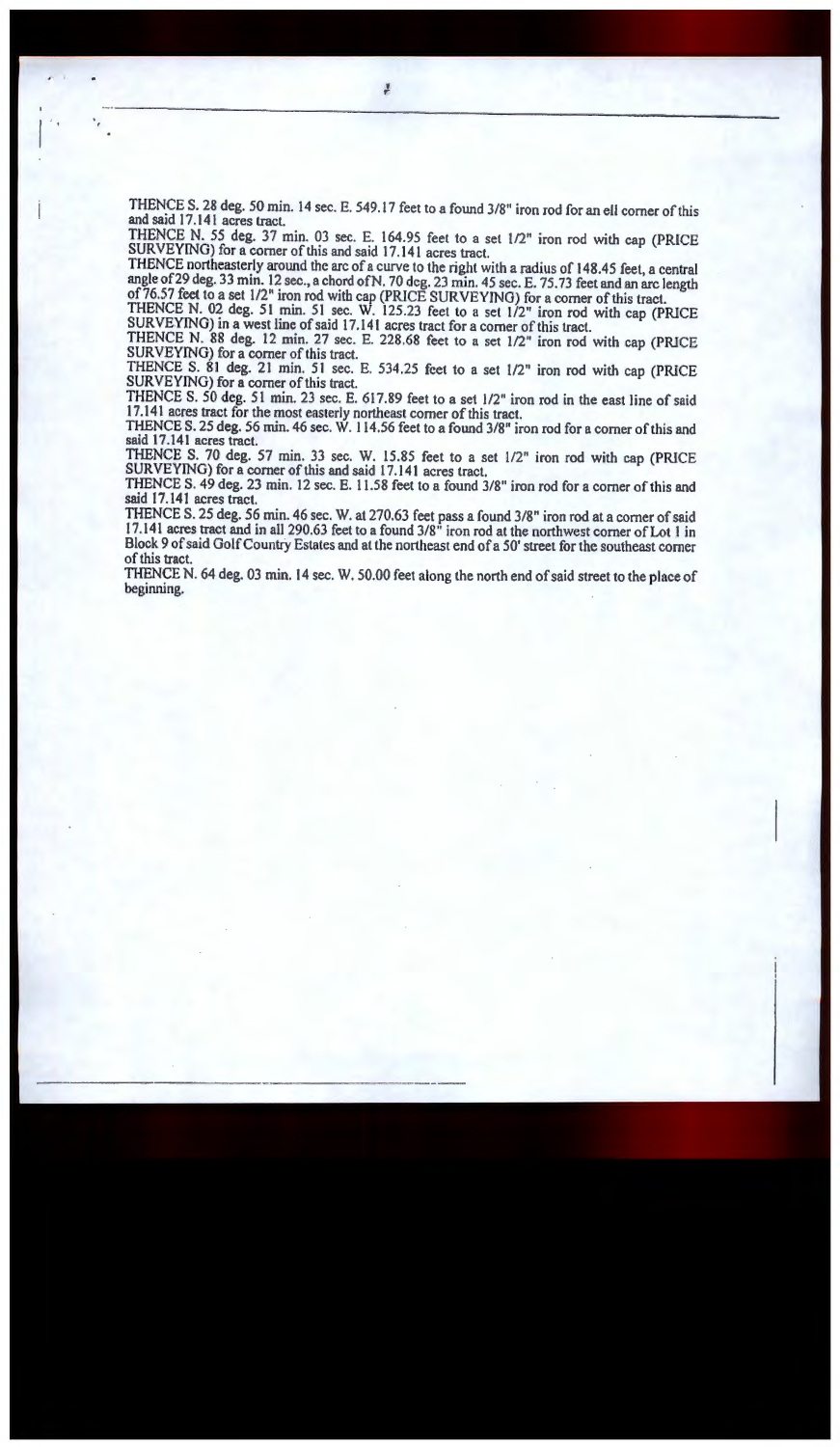THENCE S. 28 deg. 50 min. 14 sec. E. 549.17 feet to a found 3/8" iron rod for an ell comer of this and said 17 .141 acres tract.

THENCE N. 55 deg. 37 min. 03 sec. E. 164.95 feet to a set 1/2" iron rod with cap (PR[CE SURVEYING) for a corner of this and said 17.141 acres tract.

THENCE northeasterly around the arc of a curve to the right with a radius of 148.45 feet, a central angle of29 deg. 33 min. 12 sec., a chord ofN. 70 deg. 23 min. 45 sec. E. 75. 73 feet and an arc length of76.57 feet to a set 1/2" iron rod with cap (PRICE SURVEYING) for a comer of this tract.

THENCE N. 02 deg. 51 min. 51 sec. W. 125.23 feet to a set 1/2'' iron rod with cap (PRICE SURVEYING) in a west line of said 17.141 acres tract for a comer of this tract.

THENCE N. 88 deg. 12 min. 27 sec. E. 228.68 feet to a set 1/2" iron rod with cap (PRICE SURVEYING) for a comer of this tract.

THENCE S. 81 deg. 21 min. 51 sec. E. 534.25 feet to a set 1/2" iron rod with cap (PRICE SURVEYING) for a comer of this tract.

THENCE S. 50 deg. *5* l min. 23 sec. E. 617.89 feet to a *set* 1/2" iron rod in the east line of said 17.141 acres tract for the most easterly northeast comer of this tract.

THENCE S. 25 deg. 56 min. 46 sec. W. 114.56 feet to a found 3/8" iron rod for a comer of this and said 17.141 acres tract.

THENCE S. 70 deg. 57 min. 33 sec. W. 15.85 feet to a set 1/2" iron rod with cap (PRICE SURVEYING) for a comer of this and said 17 .141 acres tract.

THENCE S. 49 deg. 23 min. 12 sec. E. 11.58 feet to a found 3/8" iron rod for a comer of this and said 17.141 acres tract.

THENCE S. 25 deg. 56 min. 46 sec. W. at 270.63 feet pass a found 3/8" iron rod at a comer of said 17 .141 acres tract and in all 290.63 feet to a found 3/8" iron rod at the northwest comer of Lot 1 in Block 9 of said Golf Country Estates and at the northeast end of a 50' street for the southeast comer of this tract.

THENCE N. 64 deg. 03 min. 14 sec. W. 50.00 feet along the north end of said street to the place of beginning.